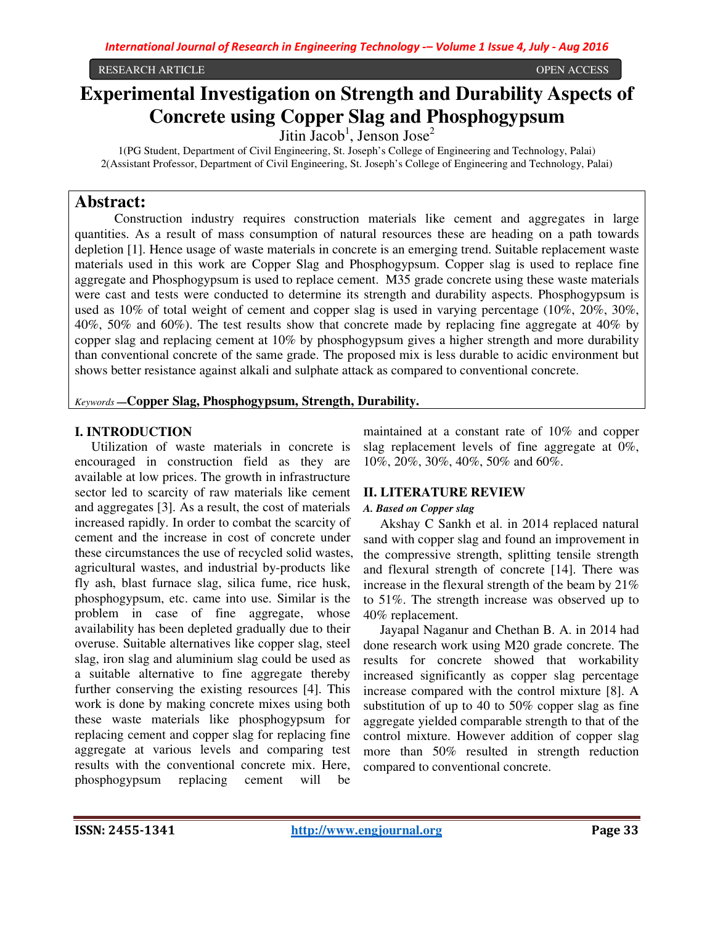RESEARCH ARTICLE OPEN ACCESS

# **Experimental Investigation on Strength and Durability Aspects of Concrete using Copper Slag and Phosphogypsum**

 $Jitin~Jacob<sup>1</sup>$ , Jenson Jose<sup>2</sup>

1(PG Student, Department of Civil Engineering, St. Joseph's College of Engineering and Technology, Palai) 2(Assistant Professor, Department of Civil Engineering, St. Joseph's College of Engineering and Technology, Palai)

# **Abstract:**

 Construction industry requires construction materials like cement and aggregates in large quantities. As a result of mass consumption of natural resources these are heading on a path towards depletion [1]. Hence usage of waste materials in concrete is an emerging trend. Suitable replacement waste materials used in this work are Copper Slag and Phosphogypsum. Copper slag is used to replace fine aggregate and Phosphogypsum is used to replace cement. M35 grade concrete using these waste materials were cast and tests were conducted to determine its strength and durability aspects. Phosphogypsum is used as 10% of total weight of cement and copper slag is used in varying percentage (10%, 20%, 30%, 40%, 50% and 60%). The test results show that concrete made by replacing fine aggregate at 40% by copper slag and replacing cement at 10% by phosphogypsum gives a higher strength and more durability than conventional concrete of the same grade. The proposed mix is less durable to acidic environment but shows better resistance against alkali and sulphate attack as compared to conventional concrete.

### *Keywords* **—Copper Slag, Phosphogypsum, Strength, Durability.**

### **I. INTRODUCTION**

 Utilization of waste materials in concrete is encouraged in construction field as they are available at low prices. The growth in infrastructure sector led to scarcity of raw materials like cement and aggregates [3]. As a result, the cost of materials increased rapidly. In order to combat the scarcity of cement and the increase in cost of concrete under these circumstances the use of recycled solid wastes, agricultural wastes, and industrial by-products like fly ash, blast furnace slag, silica fume, rice husk, phosphogypsum, etc. came into use. Similar is the problem in case of fine aggregate, whose availability has been depleted gradually due to their overuse. Suitable alternatives like copper slag, steel slag, iron slag and aluminium slag could be used as a suitable alternative to fine aggregate thereby further conserving the existing resources [4]. This work is done by making concrete mixes using both these waste materials like phosphogypsum for replacing cement and copper slag for replacing fine aggregate at various levels and comparing test results with the conventional concrete mix. Here, phosphogypsum replacing cement will be

maintained at a constant rate of 10% and copper slag replacement levels of fine aggregate at 0%, 10%, 20%, 30%, 40%, 50% and 60%.

# **II. LITERATURE REVIEW**

### *A. Based on Copper slag*

Akshay C Sankh et al. in 2014 replaced natural sand with copper slag and found an improvement in the compressive strength, splitting tensile strength and flexural strength of concrete [14]. There was increase in the flexural strength of the beam by 21% to 51%. The strength increase was observed up to 40% replacement.

Jayapal Naganur and Chethan B. A. in 2014 had done research work using M20 grade concrete. The results for concrete showed that workability increased significantly as copper slag percentage increase compared with the control mixture [8]. A substitution of up to 40 to 50% copper slag as fine aggregate yielded comparable strength to that of the control mixture. However addition of copper slag more than 50% resulted in strength reduction compared to conventional concrete.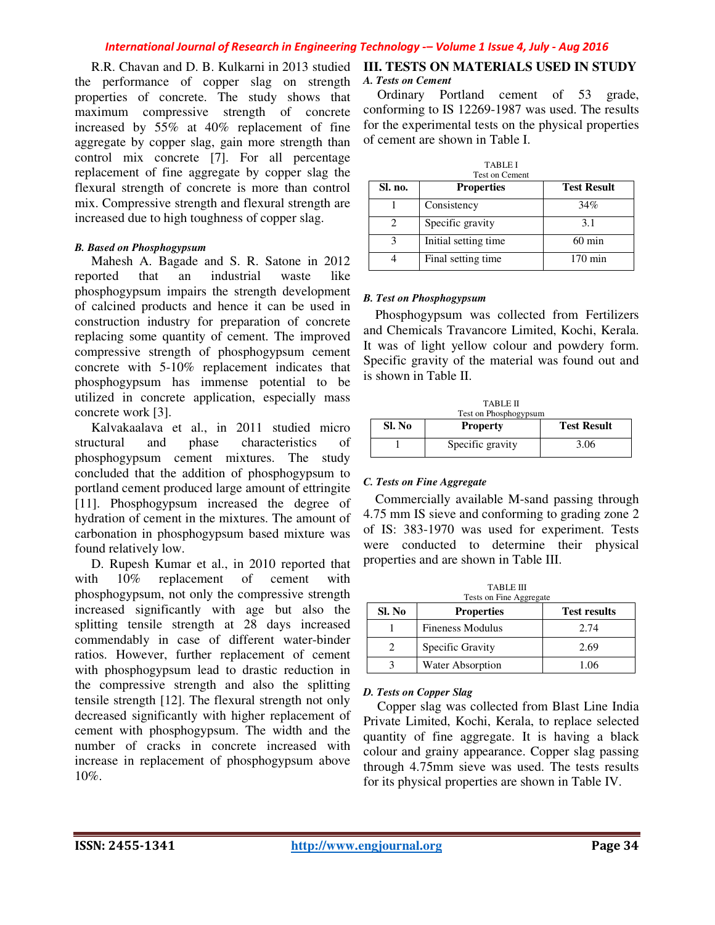R.R. Chavan and D. B. Kulkarni in 2013 studied the performance of copper slag on strength properties of concrete. The study shows that maximum compressive strength of concrete increased by 55% at 40% replacement of fine aggregate by copper slag, gain more strength than control mix concrete [7]. For all percentage replacement of fine aggregate by copper slag the flexural strength of concrete is more than control mix. Compressive strength and flexural strength are increased due to high toughness of copper slag.

### *B. Based on Phosphogypsum*

Mahesh A. Bagade and S. R. Satone in 2012 reported that an industrial waste like phosphogypsum impairs the strength development of calcined products and hence it can be used in construction industry for preparation of concrete replacing some quantity of cement. The improved compressive strength of phosphogypsum cement concrete with 5-10% replacement indicates that phosphogypsum has immense potential to be utilized in concrete application, especially mass concrete work [3].

Kalvakaalava et al., in 2011 studied micro structural and phase characteristics of phosphogypsum cement mixtures. The study concluded that the addition of phosphogypsum to portland cement produced large amount of ettringite [11]. Phosphogypsum increased the degree of hydration of cement in the mixtures. The amount of carbonation in phosphogypsum based mixture was found relatively low.

D. Rupesh Kumar et al., in 2010 reported that with  $10\%$  replacement of cement with phosphogypsum, not only the compressive strength increased significantly with age but also the splitting tensile strength at 28 days increased commendably in case of different water-binder ratios. However, further replacement of cement with phosphogypsum lead to drastic reduction in the compressive strength and also the splitting tensile strength [12]. The flexural strength not only decreased significantly with higher replacement of cement with phosphogypsum. The width and the number of cracks in concrete increased with increase in replacement of phosphogypsum above 10%.

### **III. TESTS ON MATERIALS USED IN STUDY**  *A. Tests on Cement*

 Ordinary Portland cement of 53 grade, conforming to IS 12269-1987 was used. The results for the experimental tests on the physical properties of cement are shown in Table I.

| <b>TABLEI</b><br>Test on Cement |                       |                    |  |
|---------------------------------|-----------------------|--------------------|--|
| Sl. no.                         | <b>Properties</b>     | <b>Test Result</b> |  |
|                                 | Consistency           | 34%                |  |
|                                 | Specific gravity      | 3.1                |  |
|                                 | Initial setting time. | $60 \text{ min}$   |  |
|                                 | Final setting time.   | $170 \text{ min}$  |  |

### *B. Test on Phosphogypsum*

Phosphogypsum was collected from Fertilizers and Chemicals Travancore Limited, Kochi, Kerala. It was of light yellow colour and powdery form. Specific gravity of the material was found out and is shown in Table II.

|        | <b>TABLE II</b><br>Test on Phosphogypsum |                    |
|--------|------------------------------------------|--------------------|
| Sl. No | <b>Property</b>                          | <b>Test Result</b> |
|        | Specific gravity                         | 3.06               |

### *C. Tests on Fine Aggregate*

Commercially available M-sand passing through 4.75 mm IS sieve and conforming to grading zone 2 of IS: 383-1970 was used for experiment. Tests were conducted to determine their physical properties and are shown in Table III.

|                             | <b>TABLE III</b><br>Tests on Fine Aggregate |                     |
|-----------------------------|---------------------------------------------|---------------------|
| Sl. No                      | <b>Properties</b>                           | <b>Test results</b> |
|                             | <b>Fineness Modulus</b>                     | 2.74                |
| $\mathcal{D}_{\mathcal{A}}$ | Specific Gravity                            | 2.69                |
|                             | <b>Water Absorption</b>                     | 1.06                |

### *D. Tests on Copper Slag*

 Copper slag was collected from Blast Line India Private Limited, Kochi, Kerala, to replace selected quantity of fine aggregate. It is having a black colour and grainy appearance. Copper slag passing through 4.75mm sieve was used. The tests results for its physical properties are shown in Table IV.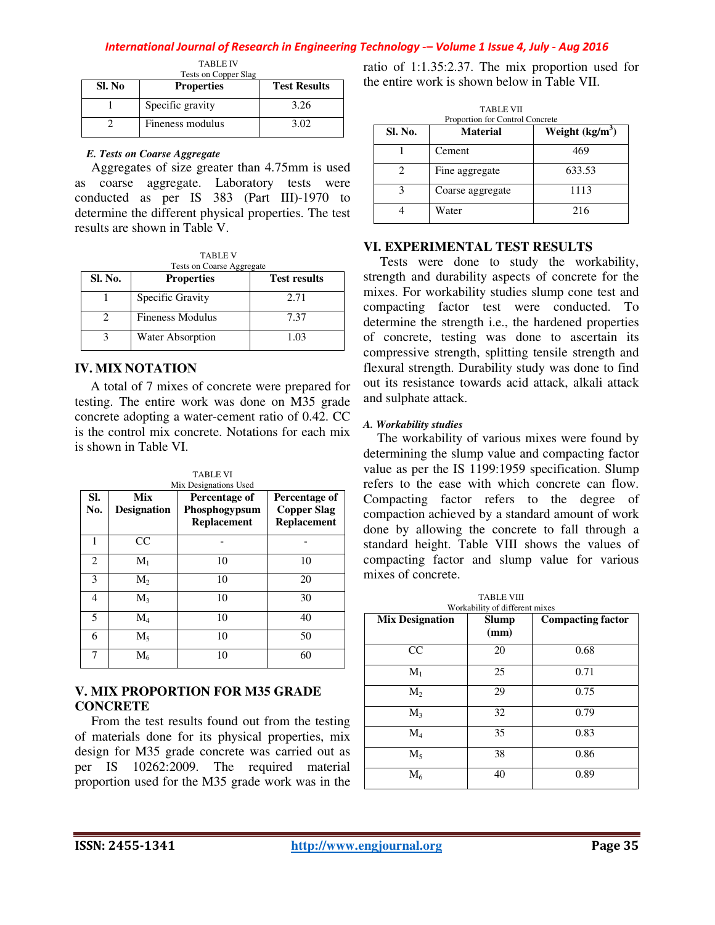TABLE IV

|                             | Tests on Copper Slag |                     |
|-----------------------------|----------------------|---------------------|
| Sl. No<br><b>Properties</b> |                      | <b>Test Results</b> |
|                             | Specific gravity     | 3.26                |
|                             | Fineness modulus     | 3.02                |

### *E. Tests on Coarse Aggregate*

Aggregates of size greater than 4.75mm is used as coarse aggregate. Laboratory tests were conducted as per IS 383 (Part III)-1970 to determine the different physical properties. The test results are shown in Table V.

TABLE V Tests on Coarse Aggregate

| Sl. No. | <b>Properties</b>       | <b>Test results</b> |
|---------|-------------------------|---------------------|
|         | Specific Gravity        | 2.71                |
|         | <b>Fineness Modulus</b> | 7.37                |
|         | <b>Water Absorption</b> | 1.03                |

# **IV. MIX NOTATION**

A total of 7 mixes of concrete were prepared for testing. The entire work was done on M35 grade concrete adopting a water-cement ratio of 0.42. CC is the control mix concrete. Notations for each mix is shown in Table VI.

TABLE VI

| SI.<br>No. | Mix<br><b>Designation</b> | Percentage of<br>Phosphogypsum<br><b>Replacement</b> | Percentage of<br><b>Copper Slag</b><br><b>Replacement</b> |
|------------|---------------------------|------------------------------------------------------|-----------------------------------------------------------|
| 1          | <b>CC</b>                 |                                                      |                                                           |
| 2          | $M_1$                     | 10                                                   | 10                                                        |
| 3          | $M_{2}$                   | 10                                                   | 20                                                        |
| 4          | $M_{3}$                   | 10                                                   | 30                                                        |
| 5          | $\rm M_4$                 | 10                                                   | 40                                                        |
| 6          | $M_5$                     | 10                                                   | 50                                                        |
| 7          | $M_6$                     | 10                                                   | 60                                                        |

# **V. MIX PROPORTION FOR M35 GRADE CONCRETE**

From the test results found out from the testing of materials done for its physical properties, mix design for M35 grade concrete was carried out as per IS 10262:2009. The required material proportion used for the M35 grade work was in the ratio of 1:1.35:2.37. The mix proportion used for the entire work is shown below in Table VII.

| <b>TABLE VII</b><br>Proportion for Control Concrete |                  |                  |  |
|-----------------------------------------------------|------------------|------------------|--|
| <b>Sl. No.</b>                                      | <b>Material</b>  | Weight $(kg/m3)$ |  |
|                                                     | Cement           | 469              |  |
|                                                     | Fine aggregate   | 633.53           |  |
| κ                                                   | Coarse aggregate | 1113             |  |
|                                                     | Water            | 216              |  |

# **VI. EXPERIMENTAL TEST RESULTS**

 Tests were done to study the workability, strength and durability aspects of concrete for the mixes. For workability studies slump cone test and compacting factor test were conducted. To determine the strength i.e., the hardened properties of concrete, testing was done to ascertain its compressive strength, splitting tensile strength and flexural strength. Durability study was done to find out its resistance towards acid attack, alkali attack and sulphate attack.

# *A. Workability studies*

 The workability of various mixes were found by determining the slump value and compacting factor value as per the IS 1199:1959 specification. Slump refers to the ease with which concrete can flow. Compacting factor refers to the degree of compaction achieved by a standard amount of work done by allowing the concrete to fall through a standard height. Table VIII shows the values of compacting factor and slump value for various mixes of concrete.

| <b>TABLE VIII</b><br>Workability of different mixes |                      |                          |  |  |
|-----------------------------------------------------|----------------------|--------------------------|--|--|
| <b>Mix Designation</b>                              | <b>Slump</b><br>(mm) | <b>Compacting factor</b> |  |  |
| CC                                                  | 20                   | 0.68                     |  |  |
| $M_1$                                               | 25                   | 0.71                     |  |  |
| $M_{2}$                                             | 29                   | 0.75                     |  |  |
| $M_3$                                               | 32                   | 0.79                     |  |  |
| $\rm M_4$                                           | 35                   | 0.83                     |  |  |
| $M_5$                                               | 38                   | 0.86                     |  |  |
| $M_6$                                               | 40                   | 0.89                     |  |  |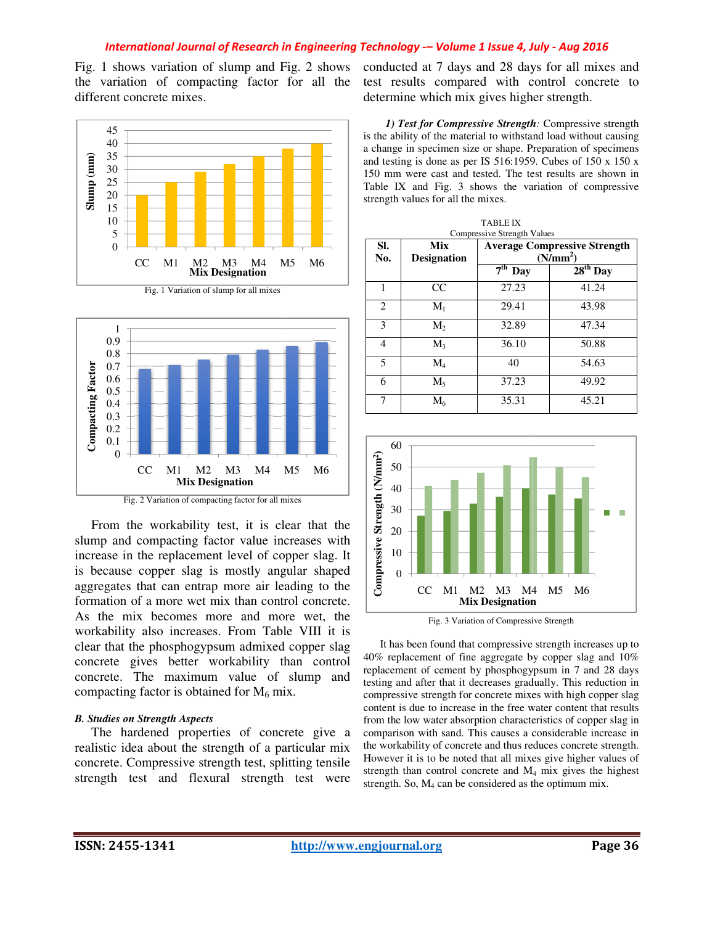Fig. 1 shows variation of slump and Fig. 2 shows the variation of compacting factor for all the different concrete mixes.







Fig. 2 Variation of compacting factor for all mixes

 From the workability test, it is clear that the slump and compacting factor value increases with increase in the replacement level of copper slag. It is because copper slag is mostly angular shaped aggregates that can entrap more air leading to the formation of a more wet mix than control concrete. As the mix becomes more and more wet, the workability also increases. From Table VIII it is clear that the phosphogypsum admixed copper slag concrete gives better workability than control concrete. The maximum value of slump and compacting factor is obtained for  $M_6$  mix.

#### *B. Studies on Strength Aspects*

 The hardened properties of concrete give a realistic idea about the strength of a particular mix concrete. Compressive strength test, splitting tensile strength test and flexural strength test were

| . 1 shows variation of slump and Fig. 2 shows<br>variation of compacting factor for all the<br>ferent concrete mixes.                                                                                                                                                                                                                                               |                                                                                                                                                                                                                                                                                                                                                                                                                                                                                                                                                                                                                 | determine which mix gives higher strength. |                                                | conducted at 7 days and 28 days for all mixes and<br>test results compared with control concrete to                                                                                                                                                                                                                                                                                                                                                                                                                                                                                                                                                                  |
|---------------------------------------------------------------------------------------------------------------------------------------------------------------------------------------------------------------------------------------------------------------------------------------------------------------------------------------------------------------------|-----------------------------------------------------------------------------------------------------------------------------------------------------------------------------------------------------------------------------------------------------------------------------------------------------------------------------------------------------------------------------------------------------------------------------------------------------------------------------------------------------------------------------------------------------------------------------------------------------------------|--------------------------------------------|------------------------------------------------|----------------------------------------------------------------------------------------------------------------------------------------------------------------------------------------------------------------------------------------------------------------------------------------------------------------------------------------------------------------------------------------------------------------------------------------------------------------------------------------------------------------------------------------------------------------------------------------------------------------------------------------------------------------------|
| 45<br>40<br>35<br>30<br>$25\,$<br>$20\,$<br>15<br>10<br>5<br>$\boldsymbol{0}$<br>CC<br>M1<br>M <sub>6</sub><br>M <sub>5</sub><br>M <sub>2</sub><br>M3<br>M4<br><b>Mix Designation</b>                                                                                                                                                                               | 1) Test for Compressive Strength: Compressive strength<br>is the ability of the material to withstand load without causing<br>a change in specimen size or shape. Preparation of specimens<br>and testing is done as per IS 516:1959. Cubes of 150 x 150 x<br>150 mm were cast and tested. The test results are shown in<br>Table IX and Fig. 3 shows the variation of compressive<br>strength values for all the mixes.<br><b>TABLE IX</b><br><b>Compressive Strength Values</b><br><b>Mix</b><br>SI.<br><b>Average Compressive Strength</b><br>No.<br><b>Designation</b><br>(N/mm <sup>2</sup> )<br>$7th$ Day |                                            |                                                | $28th$ Day                                                                                                                                                                                                                                                                                                                                                                                                                                                                                                                                                                                                                                                           |
| Fig. 1 Variation of slump for all mixes                                                                                                                                                                                                                                                                                                                             | 1                                                                                                                                                                                                                                                                                                                                                                                                                                                                                                                                                                                                               | CC                                         | 27.23                                          | 41.24                                                                                                                                                                                                                                                                                                                                                                                                                                                                                                                                                                                                                                                                |
|                                                                                                                                                                                                                                                                                                                                                                     | $\overline{c}$                                                                                                                                                                                                                                                                                                                                                                                                                                                                                                                                                                                                  | $M_1$                                      | 29.41                                          | 43.98                                                                                                                                                                                                                                                                                                                                                                                                                                                                                                                                                                                                                                                                |
| $\mathbf{1}$                                                                                                                                                                                                                                                                                                                                                        | 3                                                                                                                                                                                                                                                                                                                                                                                                                                                                                                                                                                                                               | $M_2$                                      | 32.89                                          | 47.34                                                                                                                                                                                                                                                                                                                                                                                                                                                                                                                                                                                                                                                                |
| 0.9                                                                                                                                                                                                                                                                                                                                                                 | 4                                                                                                                                                                                                                                                                                                                                                                                                                                                                                                                                                                                                               | $M_3$                                      | 36.10                                          | 50.88                                                                                                                                                                                                                                                                                                                                                                                                                                                                                                                                                                                                                                                                |
| 0.8<br>0.7                                                                                                                                                                                                                                                                                                                                                          | 5                                                                                                                                                                                                                                                                                                                                                                                                                                                                                                                                                                                                               | $M_4$                                      | 40                                             | 54.63                                                                                                                                                                                                                                                                                                                                                                                                                                                                                                                                                                                                                                                                |
| 0.6<br>0.5                                                                                                                                                                                                                                                                                                                                                          | 6                                                                                                                                                                                                                                                                                                                                                                                                                                                                                                                                                                                                               | $M_5$                                      | 37.23                                          | 49.92                                                                                                                                                                                                                                                                                                                                                                                                                                                                                                                                                                                                                                                                |
| Compacting ractor<br>$0.4\,$<br>0.3<br>0.2<br>0.1<br>$\boldsymbol{0}$                                                                                                                                                                                                                                                                                               | $\overline{7}$<br>60                                                                                                                                                                                                                                                                                                                                                                                                                                                                                                                                                                                            | $M_6$                                      | 35.31                                          | 45.21                                                                                                                                                                                                                                                                                                                                                                                                                                                                                                                                                                                                                                                                |
| CC<br>M6<br>M <sub>1</sub><br>M <sub>2</sub><br>M <sub>3</sub><br>M4<br>M <sub>5</sub><br><b>Mix Designation</b>                                                                                                                                                                                                                                                    | 50                                                                                                                                                                                                                                                                                                                                                                                                                                                                                                                                                                                                              |                                            |                                                |                                                                                                                                                                                                                                                                                                                                                                                                                                                                                                                                                                                                                                                                      |
| Fig. 2 Variation of compacting factor for all mixes<br>From the workability test, it is clear that the<br>mp and compacting factor value increases with<br>rease in the replacement level of copper slag. It<br>because copper slag is mostly angular shaped<br>gregates that can entrap more air leading to the<br>mation of a more wet mix than control concrete. | Compressive Strength (N/mm <sup>2</sup> )<br>40<br>30<br>$20\,$<br>$10\,$<br>$\overline{0}$                                                                                                                                                                                                                                                                                                                                                                                                                                                                                                                     |                                            | CC M1 M2 M3 M4 M5 M6<br><b>Mix Designation</b> |                                                                                                                                                                                                                                                                                                                                                                                                                                                                                                                                                                                                                                                                      |
| the mix becomes more and more wet, the<br>rkability also increases. From Table VIII it is                                                                                                                                                                                                                                                                           |                                                                                                                                                                                                                                                                                                                                                                                                                                                                                                                                                                                                                 |                                            | Fig. 3 Variation of Compressive Strength       |                                                                                                                                                                                                                                                                                                                                                                                                                                                                                                                                                                                                                                                                      |
| ar that the phosphogypsum admixed copper slag<br>ncrete gives better workability than control<br>ncrete. The maximum value of slump and<br>mpacting factor is obtained for $M_6$ mix.<br><b>Studies on Strength Aspects</b><br>The hardened properties of concrete give a<br>listic idea about the strength of a particular mix                                     |                                                                                                                                                                                                                                                                                                                                                                                                                                                                                                                                                                                                                 |                                            |                                                | It has been found that compressive strength increases up to<br>40% replacement of fine aggregate by copper slag and 10%<br>replacement of cement by phosphogypsum in 7 and 28 days<br>testing and after that it decreases gradually. This reduction in<br>compressive strength for concrete mixes with high copper slag<br>content is due to increase in the free water content that results<br>from the low water absorption characteristics of copper slag in<br>comparison with sand. This causes a considerable increase in<br>the workability of concrete and thus reduces concrete strength.<br>However it is to be noted that all mixes give higher values of |
| acrete. Compressive strength test, splitting tensile                                                                                                                                                                                                                                                                                                                |                                                                                                                                                                                                                                                                                                                                                                                                                                                                                                                                                                                                                 |                                            |                                                |                                                                                                                                                                                                                                                                                                                                                                                                                                                                                                                                                                                                                                                                      |



Fig. 3 Variation of Compressive Strength

 It has been found that compressive strength increases up to 40% replacement of fine aggregate by copper slag and 10% replacement of cement by phosphogypsum in 7 and 28 days testing and after that it decreases gradually. This reduction in compressive strength for concrete mixes with high copper slag content is due to increase in the free water content that results from the low water absorption characteristics of copper slag in comparison with sand. This causes a considerable increase in the workability of concrete and thus reduces concrete strength. However it is to be noted that all mixes give higher values of strength than control concrete and M <sup>4</sup> mix gives the highest strength. So,  $M_4$  can be considered as the optimum mix. It has been found that compressive strength increase 40% replacement of fine aggregate by copper slag an replacement of cement by phosphogypsum in 7 and 2 testing and after that it decreases gradually. This reduce compress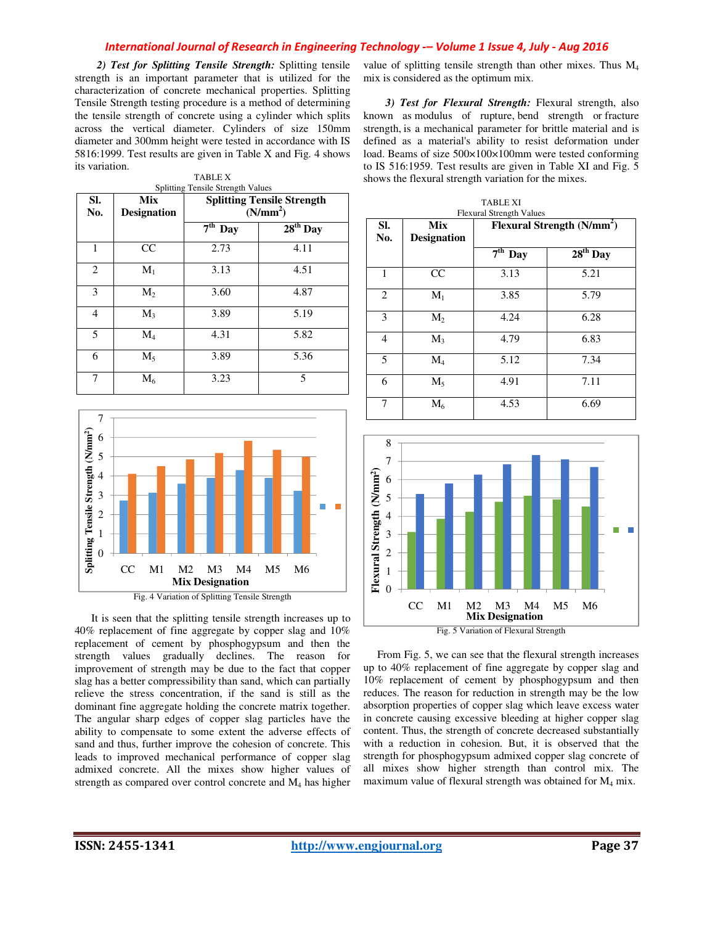*2) Test for Splitting Tensile Strength:* Splitting tensile strength is an important parameter that is utilized for the characterization of concrete mechanical properties. Splitting Tensile Strength testing procedure is a method of determining the tensile strength of concrete using a cylinder which splits across the vertical diameter. Cylinders of size 150mm diameter and 300mm height were tested in accordance with IS 5816:1999. Test results are given in Table X and Fig. 4 shows its variation. TABLE X

|                | <b>Splitting Tensile Strength Values</b> |                                                           |            |  |
|----------------|------------------------------------------|-----------------------------------------------------------|------------|--|
| SI.<br>No.     | Mix<br><b>Designation</b>                | <b>Splitting Tensile Strength</b><br>(N/mm <sup>2</sup> ) |            |  |
|                |                                          | $7th$ Day                                                 | $28th$ Day |  |
| 1              | CC                                       | 2.73                                                      | 4.11       |  |
| 2              | $M_1$                                    | 3.13                                                      | 4.51       |  |
| 3              | $M_{2}$                                  | 3.60                                                      | 4.87       |  |
| $\overline{4}$ | $M_{3}$                                  | 3.89                                                      | 5.19       |  |
| 5              | $M_4$                                    | 4.31                                                      | 5.82       |  |
| 6              | $M_5$                                    | 3.89                                                      | 5.36       |  |
| 7              | $M_6$                                    | 3.23                                                      | 5          |  |



Fig. 4 Variation of Splitting Tensile Strength

 It is seen that the splitting tensile strength increases up to 40% replacement of fine aggregate by copper slag and 10% replacement of cement by phosphogypsum and then the strength values gradually declines. The reason for improvement of strength may be due to the fact that copper slag has a better compressibility than sand, which can partially relieve the stress concentration, if the sand is still as the dominant fine aggregate holding the concrete matrix together. The angular sharp edges of copper slag particles have the ability to compensate to some extent the adverse effects of sand and thus, further improve the cohesion of concrete. This leads to improved mechanical performance of copper slag admixed concrete. All the mixes show higher values of strength as compared over control concrete and M4 has higher

value of splitting tensile strength than other mixes. Thus M<sup>4</sup> mix is considered as the optimum mix.

*3) Test for Flexural Strength:* Flexural strength, also known as modulus of rupture, bend strength or fracture strength, is a mechanical parameter for brittle material and is defined as a material's ability to resist deformation under load. Beams of size 500×100×100mm were tested conforming to IS 516:1959. Test results are given in Table XI and Fig. 5 shows the flexural strength variation for the mixes.

| SI.<br>No. | <b>Mix</b><br><b>Designation</b> | Flexural Strength (N/mm <sup>2</sup> ) |            |
|------------|----------------------------------|----------------------------------------|------------|
|            |                                  | $7th$ Day                              | $28th$ Day |
| 1          | CC                               | 3.13                                   | 5.21       |
| 2          | $M_1$                            | 3.85                                   | 5.79       |
| 3          | $M_2$                            | 4.24                                   | 6.28       |
| 4          | $M_3$                            | 4.79                                   | 6.83       |
| 5          | $\rm M_4$                        | 5.12                                   | 7.34       |
| 6          | $M_5$                            | 4.91                                   | 7.11       |
| 7          | $M_6$                            | 4.53                                   | 6.69       |



Fig. 5 Variation of Flexural Strength

 From Fig. 5, we can see that the flexural strength increases up to 40% replacement of fine aggregate by copper slag and 10% replacement of cement by phosphogypsum and then reduces. The reason for reduction in strength may be the low absorption properties of copper slag which leave excess water in concrete causing excessive bleeding at higher copper slag content. Thus, the strength of concrete decreased substantially with a reduction in cohesion. But, it is observed that the strength for phosphogypsum admixed copper slag concrete of all mixes show higher strength than control mix. The maximum value of flexural strength was obtained for  $M_4$  mix.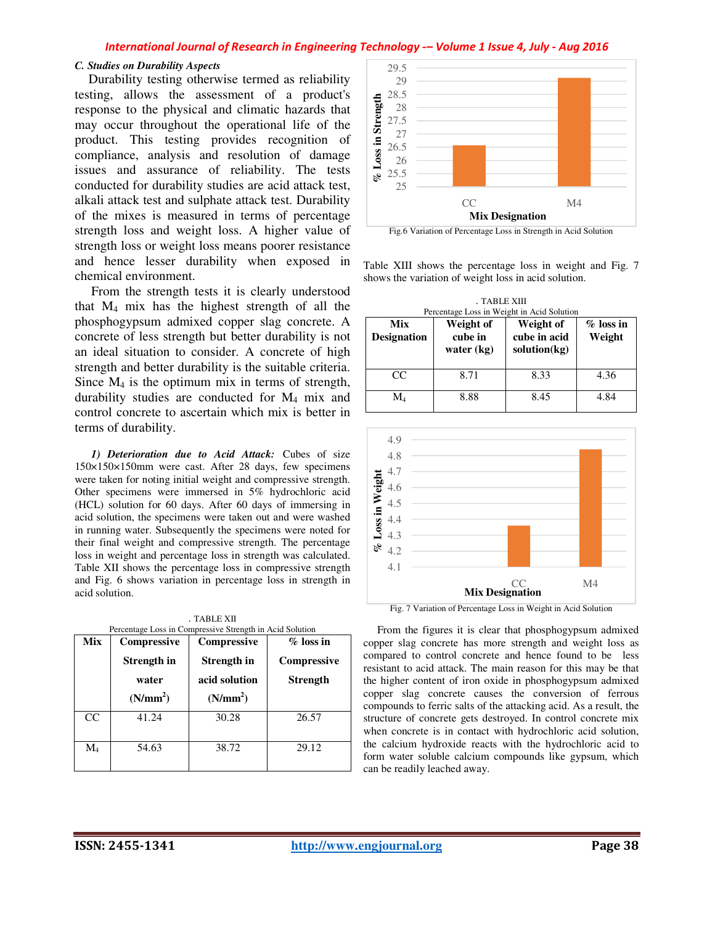### *C. Studies on Durability Aspects*

Durability testing otherwise termed as reliability testing, allows the assessment of a product's response to the physical and climatic hazards that may occur throughout the operational life of the product. This testing provides recognition of compliance, analysis and resolution of damage issues and assurance of reliability. The tests conducted for durability studies are acid attack test, alkali attack test and sulphate attack test. Durability of the mixes is measured in terms of percentage strength loss and weight loss. A higher value of strength loss or weight loss means poorer resistance and hence lesser durability when exposed in chemical environment.

 From the strength tests it is clearly understood that M4 mix has the highest strength of all the phosphogypsum admixed copper slag concrete. A concrete of less strength but better durability is not an ideal situation to consider. A concrete of high strength and better durability is the suitable criteria. Since  $M_4$  is the optimum mix in terms of strength, durability studies are conducted for M4 mix and control concrete to ascertain which mix is better in terms of durability.

 *1) Deterioration due to Acid Attack:* Cubes of size 150×150×150mm were cast. After 28 days, few specimens were taken for noting initial weight and compressive strength. Other specimens were immersed in 5% hydrochloric acid (HCL) solution for 60 days. After 60 days of immersing in acid solution, the specimens were taken out and were washed in running water. Subsequently the specimens were noted for their final weight and compressive strength. The percentage loss in weight and percentage loss in strength was calculated. Table XII shows the percentage loss in compressive strength and Fig. 6 shows variation in percentage loss in strength in acid solution.

. TABLE XII ntage Loss in Compressive Strength in Acid Solution

| Mix       | Compressive          | <b>Compressive</b>   | $%$ loss in     |
|-----------|----------------------|----------------------|-----------------|
|           | Strength in          | Strength in          | Compressive     |
|           | water                | acid solution        | <b>Strength</b> |
|           | (N/mm <sup>2</sup> ) | (N/mm <sup>2</sup> ) |                 |
| CC        | 41.24                | 30.28                | 26.57           |
| $\rm M_4$ | 54.63                | 38.72                | 29.12           |



Fig.6 Variation of Percentage Loss in Strength in Acid Solution

Table XIII shows the percentage loss in weight and Fig. 7 shows the variation of weight loss in acid solution.

. TABLE XIII Percentage Loss in Weight in Acid Solution

| Mix<br><b>Designation</b> | Weight of<br>cube in<br>water $(kg)$ | Weight of<br>cube in acid<br>solution(kg) | $%$ loss in<br>Weight |
|---------------------------|--------------------------------------|-------------------------------------------|-----------------------|
| CC                        | 8.71                                 | 8.33                                      | 4.36                  |
| $\rm M_{4}$               | 8.88                                 | 8.45                                      | 4.84                  |



Fig. 7 Variation of Percentage Loss in Weight in Acid Solution

 From the figures it is clear that phosphogypsum admixed copper slag concrete has more strength and weight loss as compared to control concrete and hence found to be less resistant to acid attack. The main reason for this may be that the higher content of iron oxide in phosphogypsum admixed copper slag concrete causes the conversion of ferrous compounds to ferric salts of the attacking acid. As a result, the structure of concrete gets destroyed. In control concrete mix when concrete is in contact with hydrochloric acid solution, the calcium hydroxide reacts with the hydrochloric acid to form water soluble calcium compounds like gypsum, which can be readily leached away.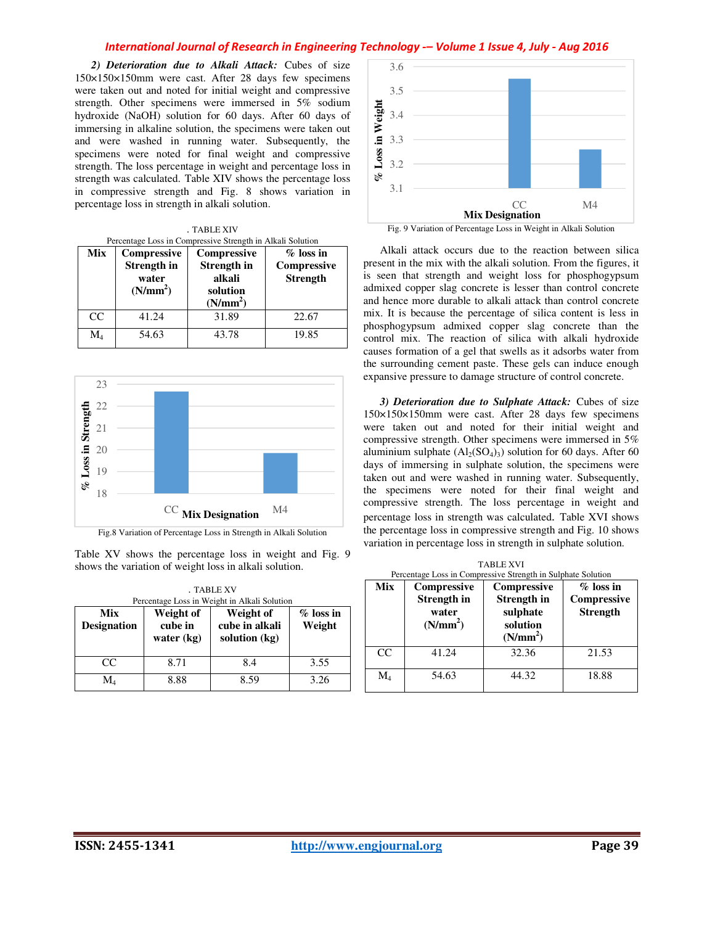*2) Deterioration due to Alkali Attack:* Cubes of size 150×150×150mm were cast. After 28 days few specimens were taken out and noted for initial weight and compressive strength. Other specimens were immersed in 5% sodium hydroxide (NaOH) solution for 60 days. After 60 days of immersing in alkaline solution, the specimens were taken out and were washed in running water. Subsequently, the specimens were noted for final weight and compressive strength. The loss percentage in weight and percentage loss in strength was calculated. Table XIV shows the percentage loss in compressive strength and Fig. 8 shows variation in percentage loss in strength in alkali solution.

| . TABLE XIV                                                |  |
|------------------------------------------------------------|--|
| Percentage Loss in Compressive Strength in Alkali Solution |  |

| Mix       | Compressive<br><b>Strength</b> in<br>water<br>(N/mm <sup>2</sup> ) | <b>Compressive</b><br>Strength in<br>alkali<br>solution<br>(N/mm <sup>2</sup> ) | $%$ loss in<br>Compressive<br><b>Strength</b> |
|-----------|--------------------------------------------------------------------|---------------------------------------------------------------------------------|-----------------------------------------------|
| CC        | 41.24                                                              | 31.89                                                                           | 22.67                                         |
| $\rm M_4$ | 54.63                                                              | 43.78                                                                           | 19.85                                         |



Table XV shows the percentage loss in weight and Fig. 9 shows the variation of weight loss in alkali solution.

| . TABLE XV<br>Percentage Loss in Weight in Alkali Solution |                                      |                                              |                       |
|------------------------------------------------------------|--------------------------------------|----------------------------------------------|-----------------------|
| Mix<br><b>Designation</b>                                  | Weight of<br>cube in<br>water $(kg)$ | Weight of<br>cube in alkali<br>solution (kg) | $%$ loss in<br>Weight |
| CC                                                         | 8.71                                 | 8.4                                          | 3.55                  |
| $\rm M_{4}$                                                | 8.88                                 | 8.59                                         | 3.26                  |



 Alkali attack occurs due to the reaction between silica present in the mix with the alkali solution. From the figures, it is seen that strength and weight loss for phosphogypsum admixed copper slag concrete is lesser than control concrete and hence more durable to alkali attack than control concrete mix. It is because the percentage of silica content is less in phosphogypsum admixed copper slag concrete than the control mix. The reaction of silica with alkali hydroxide causes formation of a gel that swells as it adsorbs water from the surrounding cement paste. These gels can induce enough expansive pressure to damage structure of control concrete.

 *3) Deterioration due to Sulphate Attack:* Cubes of size 150×150×150mm were cast. After 28 days few specimens were taken out and noted for their initial weight and compressive strength. Other specimens were immersed in 5% aluminium sulphate  $(Al_2(SO_4)_3)$  solution for 60 days. After 60 days of immersing in sulphate solution, the specimens were taken out and were washed in running water. Subsequently, the specimens were noted for their final weight and compressive strength. The loss percentage in weight and percentage loss in strength was calculated. Table XVI shows the percentage loss in compressive strength and Fig. 10 shows variation in percentage loss in strength in sulphate solution.

| Percentage Loss in Compressive Strength in Sulphate Solution |                                                                    |                                                                                   |                                                |
|--------------------------------------------------------------|--------------------------------------------------------------------|-----------------------------------------------------------------------------------|------------------------------------------------|
| Mix                                                          | Compressive<br><b>Strength</b> in<br>water<br>(N/mm <sup>2</sup> ) | Compressive<br><b>Strength in</b><br>sulphate<br>solution<br>(N/mm <sup>2</sup> ) | $\%$ loss in<br>Compressive<br><b>Strength</b> |
| CC.                                                          | 41.24                                                              | 32.36                                                                             | 21.53                                          |
| $\rm M_{4}$                                                  | 54.63                                                              | 44.32                                                                             | 18.88                                          |

TABLE XVI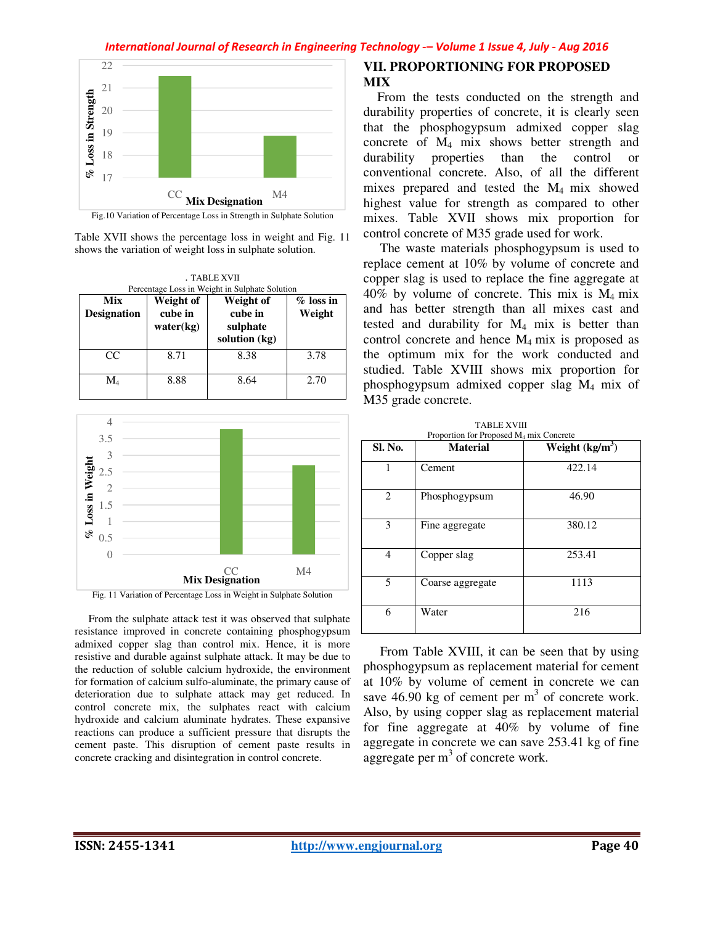

Table XVII shows the percentage loss in weight and Fig. 11 shows the variation of weight loss in sulphate solution.

| . TABLE XVII              |                                   |                                                                                                     |                       |
|---------------------------|-----------------------------------|-----------------------------------------------------------------------------------------------------|-----------------------|
| Mix<br><b>Designation</b> | Weight of<br>cube in<br>water(kg) | Percentage Loss in Weight in Sulphate Solution<br>Weight of<br>cube in<br>sulphate<br>solution (kg) | $%$ loss in<br>Weight |
| CC                        | 8.71                              | 8.38                                                                                                | 3.78                  |
| $\rm M_{4}$               | 8.88                              | 8.64                                                                                                | 2.70                  |



Fig. 11 Variation of Percentage Loss in Weight in Sulphate Solution

 From the sulphate attack test it was observed that sulphate resistance improved in concrete containing phosphogypsum admixed copper slag than control mix. Hence, it is more resistive and durable against sulphate attack. It may be due to the reduction of soluble calcium hydroxide, the environment for formation of calcium sulfo-aluminate, the primary cause of deterioration due to sulphate attack may get reduced. In control concrete mix, the sulphates react with calcium hydroxide and calcium aluminate hydrates. These expansive reactions can produce a sufficient pressure that disrupts the cement paste. This disruption of cement paste results in concrete cracking and disintegration in control concrete.

# **VII. PROPORTIONING FOR PROPOSED MIX**

 From the tests conducted on the strength and durability properties of concrete, it is clearly seen that the phosphogypsum admixed copper slag concrete of M4 mix shows better strength and durability properties than the control or conventional concrete. Also, of all the different mixes prepared and tested the M4 mix showed highest value for strength as compared to other mixes. Table XVII shows mix proportion for control concrete of M35 grade used for work.

 The waste materials phosphogypsum is used to replace cement at 10% by volume of concrete and copper slag is used to replace the fine aggregate at 40% by volume of concrete. This mix is M4 mix and has better strength than all mixes cast and tested and durability for  $M_4$  mix is better than control concrete and hence M4 mix is proposed as the optimum mix for the work conducted and studied. Table XVIII shows mix proportion for phosphogypsum admixed copper slag M4 mix of M35 grade concrete.

TABLE XVIII

| <b>Sl. No.</b> | <b>Material</b>  | Weight $(kg/m3)$ |
|----------------|------------------|------------------|
| 1              | Cement           | 422.14           |
| 2              | Phosphogypsum    | 46.90            |
| 3              | Fine aggregate   | 380.12           |
| 4              | Copper slag      | 253.41           |
| 5              | Coarse aggregate | 1113             |
| 6              | Water            | 216              |

 From Table XVIII, it can be seen that by using phosphogypsum as replacement material for cement at 10% by volume of cement in concrete we can save  $46.90 \text{ kg}$  of cement per m<sup>3</sup> of concrete work. Also, by using copper slag as replacement material for fine aggregate at 40% by volume of fine aggregate in concrete we can save 253.41 kg of fine aggregate per  $m<sup>3</sup>$  of concrete work.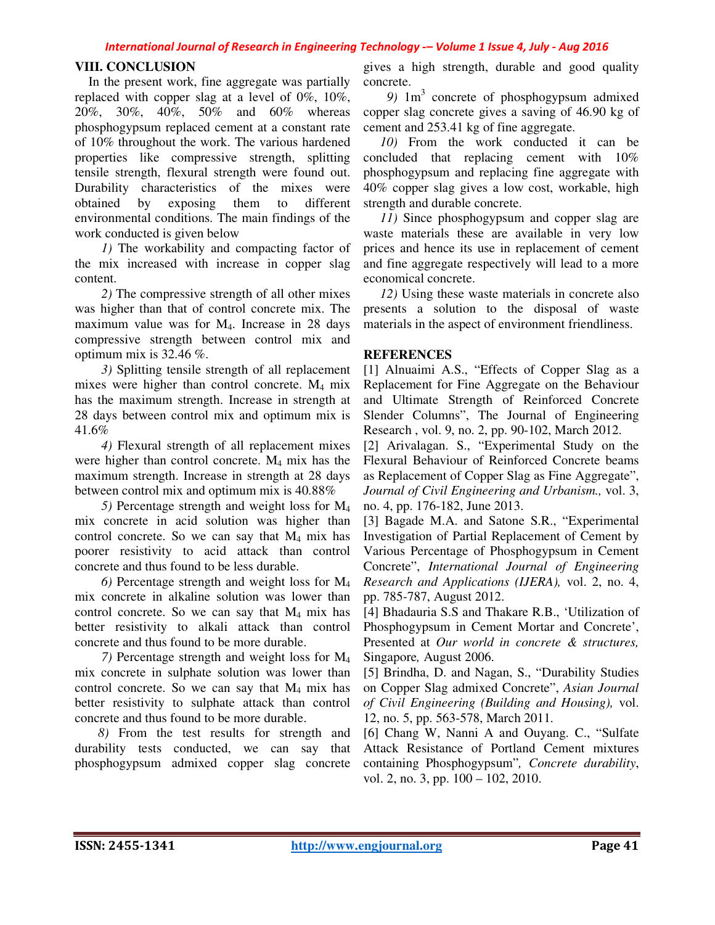# **VIII. CONCLUSION**

 In the present work, fine aggregate was partially replaced with copper slag at a level of 0%, 10%, 20%, 30%, 40%, 50% and 60% whereas phosphogypsum replaced cement at a constant rate of 10% throughout the work. The various hardened properties like compressive strength, splitting tensile strength, flexural strength were found out. Durability characteristics of the mixes were obtained by exposing them to different environmental conditions. The main findings of the work conducted is given below

 *1)* The workability and compacting factor of the mix increased with increase in copper slag content.

 *2)* The compressive strength of all other mixes was higher than that of control concrete mix. The maximum value was for M4. Increase in 28 days compressive strength between control mix and optimum mix is  $32.46\%$ .

 *3)* Splitting tensile strength of all replacement mixes were higher than control concrete. M4 mix has the maximum strength. Increase in strength at 28 days between control mix and optimum mix is 41.6%

 *4)* Flexural strength of all replacement mixes were higher than control concrete. M<sub>4</sub> mix has the maximum strength. Increase in strength at 28 days between control mix and optimum mix is 40.88%

 *5)* Percentage strength and weight loss for M<sup>4</sup> mix concrete in acid solution was higher than control concrete. So we can say that  $M_4$  mix has poorer resistivity to acid attack than control concrete and thus found to be less durable.

 *6)* Percentage strength and weight loss for M<sup>4</sup> mix concrete in alkaline solution was lower than control concrete. So we can say that M4 mix has better resistivity to alkali attack than control concrete and thus found to be more durable.

 *7)* Percentage strength and weight loss for M<sup>4</sup> mix concrete in sulphate solution was lower than control concrete. So we can say that  $M_4$  mix has better resistivity to sulphate attack than control concrete and thus found to be more durable.

 *8)* From the test results for strength and durability tests conducted, we can say that phosphogypsum admixed copper slag concrete

gives a high strength, durable and good quality concrete.

9) 1m<sup>3</sup> concrete of phosphogypsum admixed copper slag concrete gives a saving of 46.90 kg of cement and 253.41 kg of fine aggregate.

10) From the work conducted it can be concluded that replacing cement with 10% phosphogypsum and replacing fine aggregate with 40% copper slag gives a low cost, workable, high strength and durable concrete.

 *11)* Since phosphogypsum and copper slag are waste materials these are available in very low prices and hence its use in replacement of cement and fine aggregate respectively will lead to a more economical concrete.

 *12)* Using these waste materials in concrete also presents a solution to the disposal of waste materials in the aspect of environment friendliness.

# **REFERENCES**

[1] Alnuaimi A.S., "Effects of Copper Slag as a Replacement for Fine Aggregate on the Behaviour and Ultimate Strength of Reinforced Concrete Slender Columns", The Journal of Engineering Research , vol. 9, no. 2, pp. 90-102, March 2012.

[2] Arivalagan. S., "Experimental Study on the Flexural Behaviour of Reinforced Concrete beams as Replacement of Copper Slag as Fine Aggregate", *Journal of Civil Engineering and Urbanism.,* vol. 3, no. 4, pp. 176-182, June 2013.

[3] Bagade M.A. and Satone S.R., "Experimental Investigation of Partial Replacement of Cement by Various Percentage of Phosphogypsum in Cement Concrete", *International Journal of Engineering Research and Applications (IJERA),* vol. 2, no. 4, pp. 785-787, August 2012.

[4] Bhadauria S.S and Thakare R.B., 'Utilization of Phosphogypsum in Cement Mortar and Concrete', Presented at *Our world in concrete & structures,*  Singapore*,* August 2006.

[5] Brindha, D. and Nagan, S., "Durability Studies on Copper Slag admixed Concrete", *Asian Journal of Civil Engineering (Building and Housing),* vol. 12, no. 5, pp. 563-578, March 2011.

[6] Chang W, Nanni A and Ouyang. C., "Sulfate Attack Resistance of Portland Cement mixtures containing Phosphogypsum"*, Concrete durability*, vol. 2, no. 3, pp. 100 – 102, 2010.